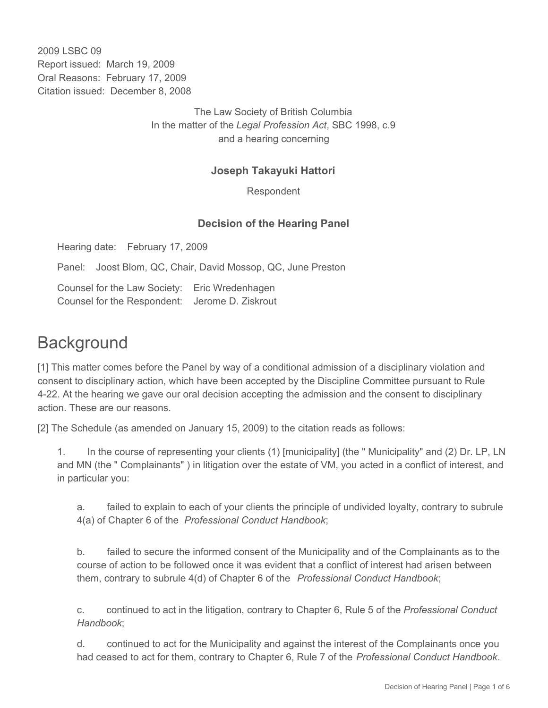2009 LSBC 09 Report issued: March 19, 2009 Oral Reasons: February 17, 2009 Citation issued: December 8, 2008

> The Law Society of British Columbia In the matter of the *Legal Profession Act*, SBC 1998, c.9 and a hearing concerning

#### **Joseph Takayuki Hattori**

Respondent

#### **Decision of the Hearing Panel**

Hearing date: February 17, 2009

Panel: Joost Blom, QC, Chair, David Mossop, QC, June Preston

Counsel for the Law Society: Eric Wredenhagen Counsel for the Respondent: Jerome D. Ziskrout

# **Background**

[1] This matter comes before the Panel by way of a conditional admission of a disciplinary violation and consent to disciplinary action, which have been accepted by the Discipline Committee pursuant to Rule 4-22. At the hearing we gave our oral decision accepting the admission and the consent to disciplinary action. These are our reasons.

[2] The Schedule (as amended on January 15, 2009) to the citation reads as follows:

1. In the course of representing your clients (1) [municipality] (the " Municipality" and (2) Dr. LP, LN and MN (the " Complainants" ) in litigation over the estate of VM, you acted in a conflict of interest, and in particular you:

a. failed to explain to each of your clients the principle of undivided loyalty, contrary to subrule 4(a) of Chapter 6 of the *Professional Conduct Handbook*;

b. failed to secure the informed consent of the Municipality and of the Complainants as to the course of action to be followed once it was evident that a conflict of interest had arisen between them, contrary to subrule 4(d) of Chapter 6 of the *Professional Conduct Handbook*;

c. continued to act in the litigation, contrary to Chapter 6, Rule 5 of the *Professional Conduct Handbook*;

d. continued to act for the Municipality and against the interest of the Complainants once you had ceased to act for them, contrary to Chapter 6, Rule 7 of the *Professional Conduct Handbook*.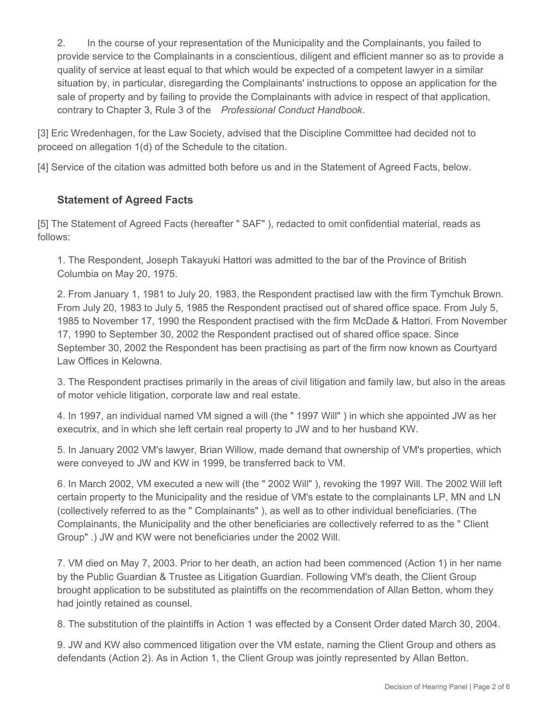2. In the course of your representation of the Municipality and the Complainants, you failed to provide service to the Complainants in a conscientious, diligent and efficient manner so as to provide a quality of service at least equal to that which would be expected of a competent lawyer in a similar situation by, in particular, disregarding the Complainants' instructions to oppose an application for the sale of property and by failing to provide the Complainants with advice in respect of that application, contrary to Chapter 3, Rule 3 of the *Professional Conduct Handbook*.

[3] Eric Wredenhagen, for the Law Society, advised that the Discipline Committee had decided not to proceed on allegation 1(d) of the Schedule to the citation.

[4] Service of the citation was admitted both before us and in the Statement of Agreed Facts, below.

### **Statement of Agreed Facts**

[5] The Statement of Agreed Facts (hereafter " SAF" ), redacted to omit confidential material, reads as follows:

1. The Respondent, Joseph Takayuki Hattori was admitted to the bar of the Province of British Columbia on May 20, 1975.

2. From January 1, 1981 to July 20, 1983, the Respondent practised law with the firm Tymchuk Brown. From July 20, 1983 to July 5, 1985 the Respondent practised out of shared office space. From July 5, 1985 to November 17, 1990 the Respondent practised with the firm McDade & Hattori. From November 17, 1990 to September 30, 2002 the Respondent practised out of shared office space. Since September 30, 2002 the Respondent has been practising as part of the firm now known as Courtyard Law Offices in Kelowna.

3. The Respondent practises primarily in the areas of civil litigation and family law, but also in the areas of motor vehicle litigation, corporate law and real estate.

4. In 1997, an individual named VM signed a will (the " 1997 Will" ) in which she appointed JW as her executrix, and in which she left certain real property to JW and to her husband KW.

5. In January 2002 VM's lawyer, Brian Willow, made demand that ownership of VM's properties, which were conveyed to JW and KW in 1999, be transferred back to VM.

6. In March 2002, VM executed a new will (the " 2002 Will" ), revoking the 1997 Will. The 2002 Will left certain property to the Municipality and the residue of VM's estate to the complainants LP, MN and LN (collectively referred to as the " Complainants" ), as well as to other individual beneficiaries. (The Complainants, the Municipality and the other beneficiaries are collectively referred to as the " Client Group" .) JW and KW were not beneficiaries under the 2002 Will.

7. VM died on May 7, 2003. Prior to her death, an action had been commenced (Action 1) in her name by the Public Guardian & Trustee as Litigation Guardian. Following VM's death, the Client Group brought application to be substituted as plaintiffs on the recommendation of Allan Betton, whom they had jointly retained as counsel.

8. The substitution of the plaintiffs in Action 1 was effected by a Consent Order dated March 30, 2004.

9. JW and KW also commenced litigation over the VM estate, naming the Client Group and others as defendants (Action 2). As in Action 1, the Client Group was jointly represented by Allan Betton.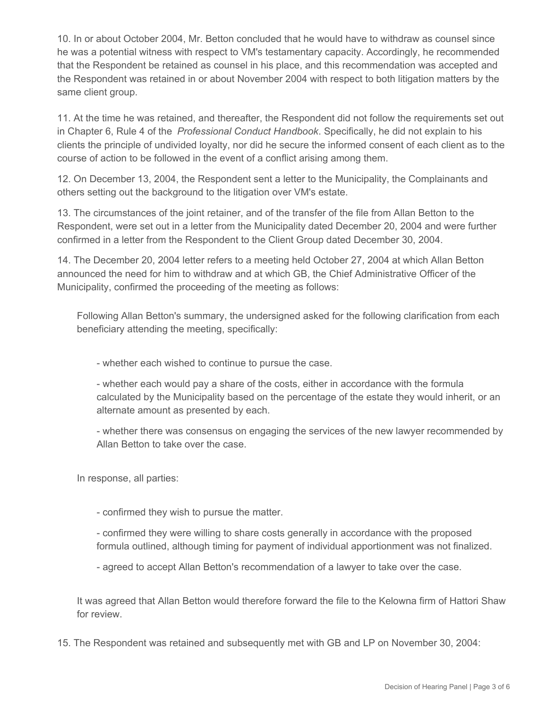10. In or about October 2004, Mr. Betton concluded that he would have to withdraw as counsel since he was a potential witness with respect to VM's testamentary capacity. Accordingly, he recommended that the Respondent be retained as counsel in his place, and this recommendation was accepted and the Respondent was retained in or about November 2004 with respect to both litigation matters by the same client group.

11. At the time he was retained, and thereafter, the Respondent did not follow the requirements set out in Chapter 6, Rule 4 of the *Professional Conduct Handbook*. Specifically, he did not explain to his clients the principle of undivided loyalty, nor did he secure the informed consent of each client as to the course of action to be followed in the event of a conflict arising among them.

12. On December 13, 2004, the Respondent sent a letter to the Municipality, the Complainants and others setting out the background to the litigation over VM's estate.

13. The circumstances of the joint retainer, and of the transfer of the file from Allan Betton to the Respondent, were set out in a letter from the Municipality dated December 20, 2004 and were further confirmed in a letter from the Respondent to the Client Group dated December 30, 2004.

14. The December 20, 2004 letter refers to a meeting held October 27, 2004 at which Allan Betton announced the need for him to withdraw and at which GB, the Chief Administrative Officer of the Municipality, confirmed the proceeding of the meeting as follows:

Following Allan Betton's summary, the undersigned asked for the following clarification from each beneficiary attending the meeting, specifically:

- whether each wished to continue to pursue the case.

- whether each would pay a share of the costs, either in accordance with the formula calculated by the Municipality based on the percentage of the estate they would inherit, or an alternate amount as presented by each.

- whether there was consensus on engaging the services of the new lawyer recommended by Allan Betton to take over the case.

In response, all parties:

- confirmed they wish to pursue the matter.

- confirmed they were willing to share costs generally in accordance with the proposed formula outlined, although timing for payment of individual apportionment was not finalized.

- agreed to accept Allan Betton's recommendation of a lawyer to take over the case.

It was agreed that Allan Betton would therefore forward the file to the Kelowna firm of Hattori Shaw for review.

15. The Respondent was retained and subsequently met with GB and LP on November 30, 2004: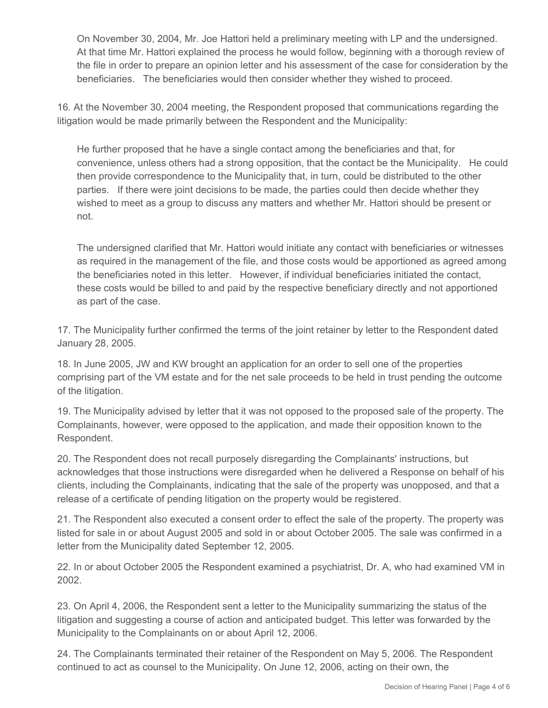On November 30, 2004, Mr. Joe Hattori held a preliminary meeting with LP and the undersigned. At that time Mr. Hattori explained the process he would follow, beginning with a thorough review of the file in order to prepare an opinion letter and his assessment of the case for consideration by the beneficiaries. The beneficiaries would then consider whether they wished to proceed.

16. At the November 30, 2004 meeting, the Respondent proposed that communications regarding the litigation would be made primarily between the Respondent and the Municipality:

He further proposed that he have a single contact among the beneficiaries and that, for convenience, unless others had a strong opposition, that the contact be the Municipality. He could then provide correspondence to the Municipality that, in turn, could be distributed to the other parties. If there were joint decisions to be made, the parties could then decide whether they wished to meet as a group to discuss any matters and whether Mr. Hattori should be present or not.

The undersigned clarified that Mr. Hattori would initiate any contact with beneficiaries or witnesses as required in the management of the file, and those costs would be apportioned as agreed among the beneficiaries noted in this letter. However, if individual beneficiaries initiated the contact, these costs would be billed to and paid by the respective beneficiary directly and not apportioned as part of the case.

17. The Municipality further confirmed the terms of the joint retainer by letter to the Respondent dated January 28, 2005.

18. In June 2005, JW and KW brought an application for an order to sell one of the properties comprising part of the VM estate and for the net sale proceeds to be held in trust pending the outcome of the litigation.

19. The Municipality advised by letter that it was not opposed to the proposed sale of the property. The Complainants, however, were opposed to the application, and made their opposition known to the Respondent.

20. The Respondent does not recall purposely disregarding the Complainants' instructions, but acknowledges that those instructions were disregarded when he delivered a Response on behalf of his clients, including the Complainants, indicating that the sale of the property was unopposed, and that a release of a certificate of pending litigation on the property would be registered.

21. The Respondent also executed a consent order to effect the sale of the property. The property was listed for sale in or about August 2005 and sold in or about October 2005. The sale was confirmed in a letter from the Municipality dated September 12, 2005.

22. In or about October 2005 the Respondent examined a psychiatrist, Dr. A, who had examined VM in 2002.

23. On April 4, 2006, the Respondent sent a letter to the Municipality summarizing the status of the litigation and suggesting a course of action and anticipated budget. This letter was forwarded by the Municipality to the Complainants on or about April 12, 2006.

24. The Complainants terminated their retainer of the Respondent on May 5, 2006. The Respondent continued to act as counsel to the Municipality. On June 12, 2006, acting on their own, the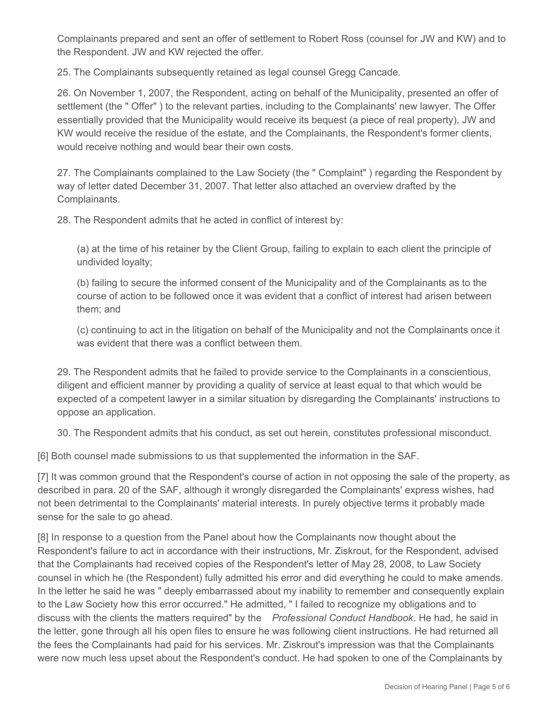Complainants prepared and sent an offer of settlement to Robert Ross (counsel for JW and KW) and to the Respondent. JW and KW rejected the offer.

25. The Complainants subsequently retained as legal counsel Gregg Cancade.

26. On November 1, 2007, the Respondent, acting on behalf of the Municipality, presented an offer of settlement (the " Offer" ) to the relevant parties, including to the Complainants' new lawyer. The Offer essentially provided that the Municipality would receive its bequest (a piece of real property), JW and KW would receive the residue of the estate, and the Complainants, the Respondent's former clients, would receive nothing and would bear their own costs.

27. The Complainants complained to the Law Society (the " Complaint" ) regarding the Respondent by way of letter dated December 31, 2007. That letter also attached an overview drafted by the Complainants.

28. The Respondent admits that he acted in conflict of interest by:

(a) at the time of his retainer by the Client Group, failing to explain to each client the principle of undivided loyalty;

(b) failing to secure the informed consent of the Municipality and of the Complainants as to the course of action to be followed once it was evident that a conflict of interest had arisen between them; and

(c) continuing to act in the litigation on behalf of the Municipality and not the Complainants once it was evident that there was a conflict between them.

29. The Respondent admits that he failed to provide service to the Complainants in a conscientious, diligent and efficient manner by providing a quality of service at least equal to that which would be expected of a competent lawyer in a similar situation by disregarding the Complainants' instructions to oppose an application.

30. The Respondent admits that his conduct, as set out herein, constitutes professional misconduct.

[6] Both counsel made submissions to us that supplemented the information in the SAF.

[7] It was common ground that the Respondent's course of action in not opposing the sale of the property, as described in para. 20 of the SAF, although it wrongly disregarded the Complainants' express wishes, had not been detrimental to the Complainants' material interests. In purely objective terms it probably made sense for the sale to go ahead.

[8] In response to a question from the Panel about how the Complainants now thought about the Respondent's failure to act in accordance with their instructions, Mr. Ziskrout, for the Respondent, advised that the Complainants had received copies of the Respondent's letter of May 28, 2008, to Law Society counsel in which he (the Respondent) fully admitted his error and did everything he could to make amends. In the letter he said he was " deeply embarrassed about my inability to remember and consequently explain to the Law Society how this error occurred." He admitted, " I failed to recognize my obligations and to discuss with the clients the matters required" by the *Professional Conduct Handbook*. He had, he said in the letter, gone through all his open files to ensure he was following client instructions. He had returned all the fees the Complainants had paid for his services. Mr. Ziskrout's impression was that the Complainants were now much less upset about the Respondent's conduct. He had spoken to one of the Complainants by